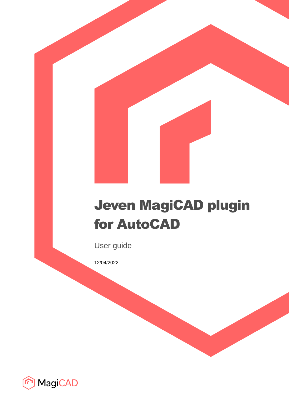# Jeven MagiCAD plugin for AutoCAD

User guide

12/04/2022

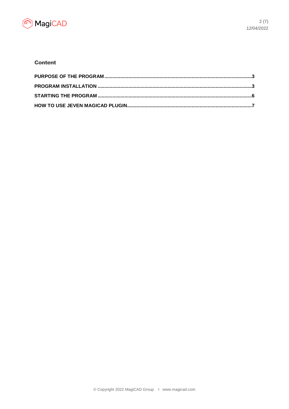

### **Content**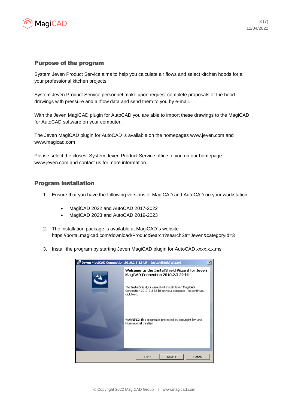

#### Purpose of the program

System Jeven Product Service aims to help you calculate air flows and select kitchen hoods for all your professional kitchen projects.

System Jeven Product Service personnel make upon request complete proposals of the hood drawings with pressure and airflow data and send them to you by e-mail.

With the Jeven MagiCAD plugin for AutoCAD you are able to import these drawings to the MagiCAD for AutoCAD software on your computer.

The Jeven MagiCAD plugin for AutoCAD is available on the homepages www.jeven.com and www.magicad.com

Please select the closest System Jeven Product Service office to you on our homepage www.jeven.com and contact us for more information.

#### Program installation

- 1. Ensure that you have the following versions of MagiCAD and AutoCAD on your workstation:
	- MagiCAD 2022 and AutoCAD 2017-2022
	- MagiCAD 2023 and AutoCAD 2019-2023
- 2. The installation package is available at MagiCAD´s website https://portal.magicad.com/download/ProductSearch?searchStr=Jeven&categoryId=3
- 3. Install the program by starting Jeven MagiCAD plugin for AutoCAD xxxx.x.x.msi

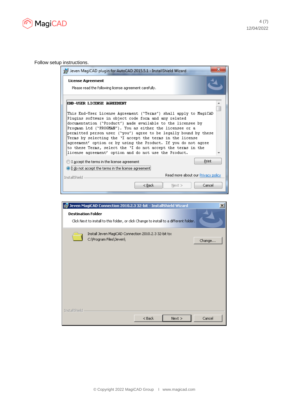

Follow setup instructions.

| Jeven MagiCAD plugin for AutoCAD 2015.5.1 - InstallShield Wizard                                                                                                                                                                                                                                                                                                                                                                                                                                                                                                                                              |   |
|---------------------------------------------------------------------------------------------------------------------------------------------------------------------------------------------------------------------------------------------------------------------------------------------------------------------------------------------------------------------------------------------------------------------------------------------------------------------------------------------------------------------------------------------------------------------------------------------------------------|---|
| <b>License Agreement</b><br>Please read the following license agreement carefully.                                                                                                                                                                                                                                                                                                                                                                                                                                                                                                                            |   |
| END-USER LICENSE AGREEMENT<br>This End-User License Agreement ("Terms") shall apply to MagiCAD<br>Plugins software in object code form and any related<br>documentation ("Product") made available to the licensee by<br>Progman Ltd ("PROGMAN"). You as either the licensee or a<br>permitted person user ("you") agree to be legally bound by these<br>Terms by selecting the 'I accept the terms in the license<br>agreement' option or by using the Product. If you do not agree<br>to these Terms, select the 'I do not accept the terms in the<br>license agreement' option and do not use the Product. |   |
| Print<br>$\bigcirc$ I accept the terms in the license agreement<br>$\odot$ i do not accept the terms in the license agreement.                                                                                                                                                                                                                                                                                                                                                                                                                                                                                |   |
| Read more about our Privacy policy<br>InstallShield                                                                                                                                                                                                                                                                                                                                                                                                                                                                                                                                                           |   |
| Cancel<br>< Back<br>$Next$ $>$                                                                                                                                                                                                                                                                                                                                                                                                                                                                                                                                                                                |   |
|                                                                                                                                                                                                                                                                                                                                                                                                                                                                                                                                                                                                               |   |
| Jeven MagiCAD Connection 2010.2.3 32-bit - InstallShield Wizard                                                                                                                                                                                                                                                                                                                                                                                                                                                                                                                                               | × |
| <b>Destination Folder</b><br>Click Next to install to this folder, or click Change to install to a different folder.                                                                                                                                                                                                                                                                                                                                                                                                                                                                                          |   |

| <b>Destination Folder</b> | Click Next to install to this folder, or click Change to install to a different folder. |          |      |        |
|---------------------------|-----------------------------------------------------------------------------------------|----------|------|--------|
|                           | Install Jeven MagiCAD Connection 2010.2.3 32-bit to:<br>C:\Program Files\Jeven\         |          |      | Change |
|                           |                                                                                         |          |      |        |
|                           |                                                                                         |          |      |        |
|                           |                                                                                         |          |      |        |
|                           |                                                                                         |          |      |        |
| InstallShield             |                                                                                         | $<$ Back | Next | Cancel |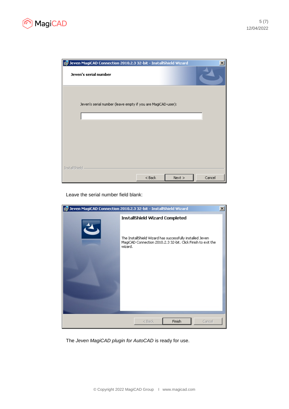



Leave the serial number field blank:



The *Jeven MagiCAD plugin for AutoCAD* is ready for use.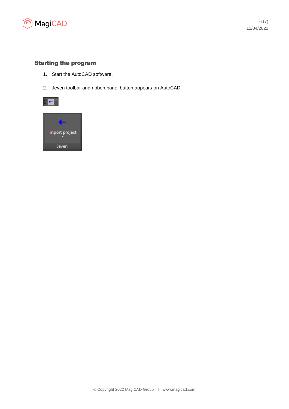

## Starting the program

- 1. Start the AutoCAD software.
- 2. Jeven toolbar and ribbon panel button appears on AutoCAD: